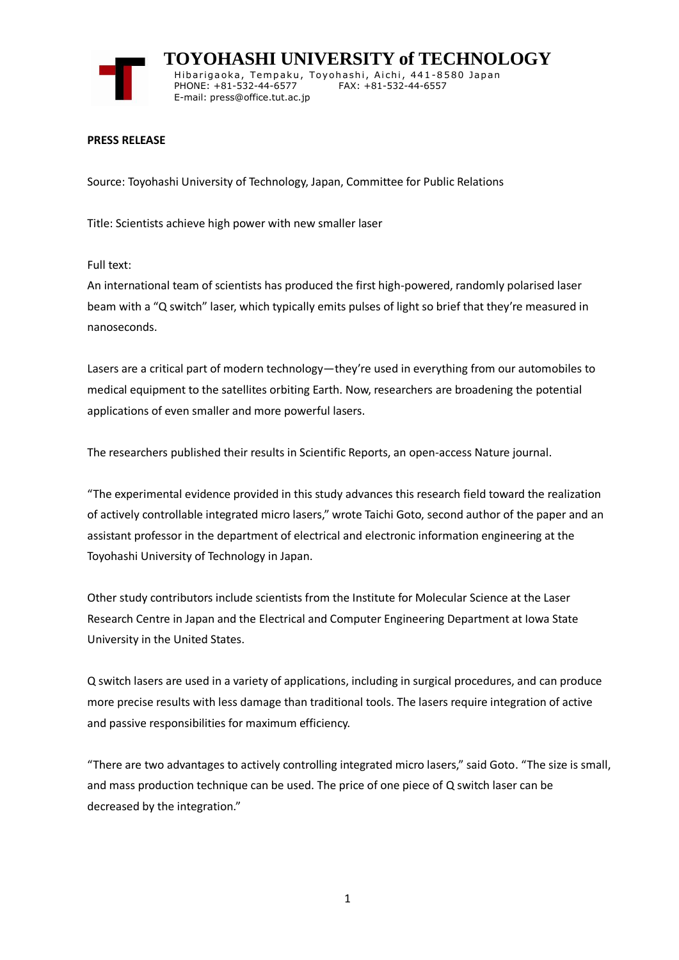

 **TOYOHASHI UNIVERSITY of TECHNOLOGY** Hibarigaoka, Tempaku, Toyohashi, Aichi, 441-8580 Japan PHONE: +81-532-44-6577 FAX: +81-532-44-6557 E-mail: press@office.tut.ac.jp

## **PRESS RELEASE**

Source: Toyohashi University of Technology, Japan, Committee for Public Relations

Title: Scientists achieve high power with new smaller laser

Full text:

An international team of scientists has produced the first high-powered, randomly polarised laser beam with a "Q switch" laser, which typically emits pulses of light so brief that they're measured in nanoseconds.

Lasers are a critical part of modern technology—they're used in everything from our automobiles to medical equipment to the satellites orbiting Earth. Now, researchers are broadening the potential applications of even smaller and more powerful lasers.

The researchers published their results in Scientific Reports, an open-access Nature journal.

"The experimental evidence provided in this study advances this research field toward the realization of actively controllable integrated micro lasers," wrote Taichi Goto, second author of the paper and an assistant professor in the department of electrical and electronic information engineering at the Toyohashi University of Technology in Japan.

Other study contributors include scientists from the Institute for Molecular Science at the Laser Research Centre in Japan and the Electrical and Computer Engineering Department at Iowa State University in the United States.

Q switch lasers are used in a variety of applications, including in surgical procedures, and can produce more precise results with less damage than traditional tools. The lasers require integration of active and passive responsibilities for maximum efficiency.

"There are two advantages to actively controlling integrated micro lasers," said Goto. "The size is small, and mass production technique can be used. The price of one piece of Q switch laser can be decreased by the integration."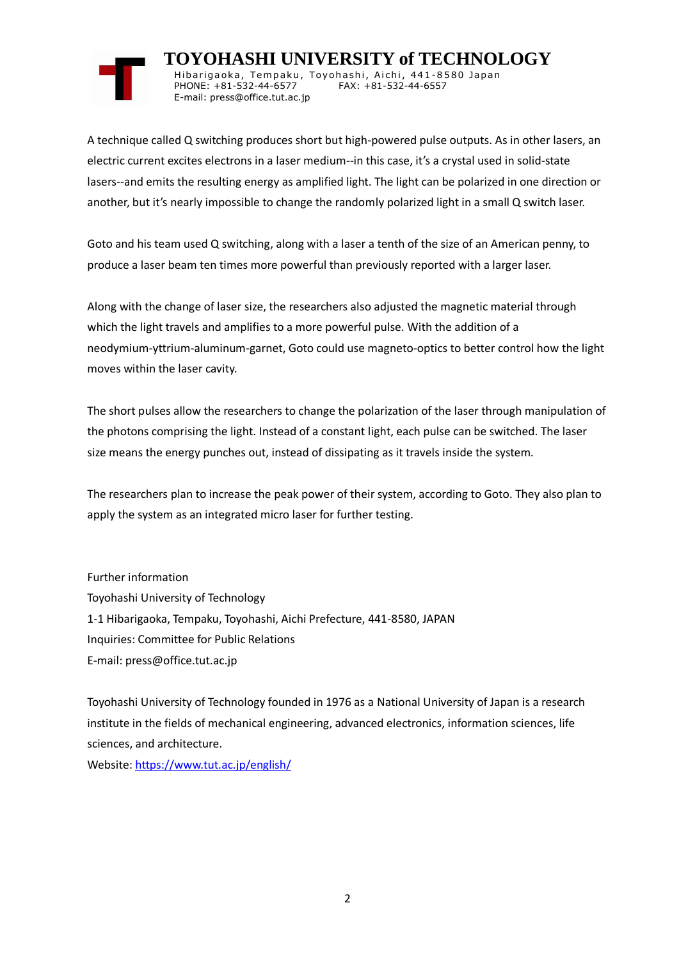

 **TOYOHASHI UNIVERSITY of TECHNOLOGY** Hibarigaoka, Tempaku, Toyohashi, Aichi, 441-8580 Japan PHONE: +81-532-44-6577 FAX: +81-532-44-6557 E-mail: press@office.tut.ac.jp

A technique called Q switching produces short but high-powered pulse outputs. As in other lasers, an electric current excites electrons in a laser medium--in this case, it's a crystal used in solid-state lasers--and emits the resulting energy as amplified light. The light can be polarized in one direction or another, but it's nearly impossible to change the randomly polarized light in a small Q switch laser.

Goto and his team used Q switching, along with a laser a tenth of the size of an American penny, to produce a laser beam ten times more powerful than previously reported with a larger laser.

Along with the change of laser size, the researchers also adjusted the magnetic material through which the light travels and amplifies to a more powerful pulse. With the addition of a neodymium-yttrium-aluminum-garnet, Goto could use magneto-optics to better control how the light moves within the laser cavity.

The short pulses allow the researchers to change the polarization of the laser through manipulation of the photons comprising the light. Instead of a constant light, each pulse can be switched. The laser size means the energy punches out, instead of dissipating as it travels inside the system.

The researchers plan to increase the peak power of their system, according to Goto. They also plan to apply the system as an integrated micro laser for further testing.

Further information Toyohashi University of Technology 1-1 Hibarigaoka, Tempaku, Toyohashi, Aichi Prefecture, 441-8580, JAPAN Inquiries: Committee for Public Relations E-mail: press@office.tut.ac.jp

Toyohashi University of Technology founded in 1976 as a National University of Japan is a research institute in the fields of mechanical engineering, advanced electronics, information sciences, life sciences, and architecture.

Website[: https://www.tut.ac.jp/english/](https://www.tut.ac.jp/english/)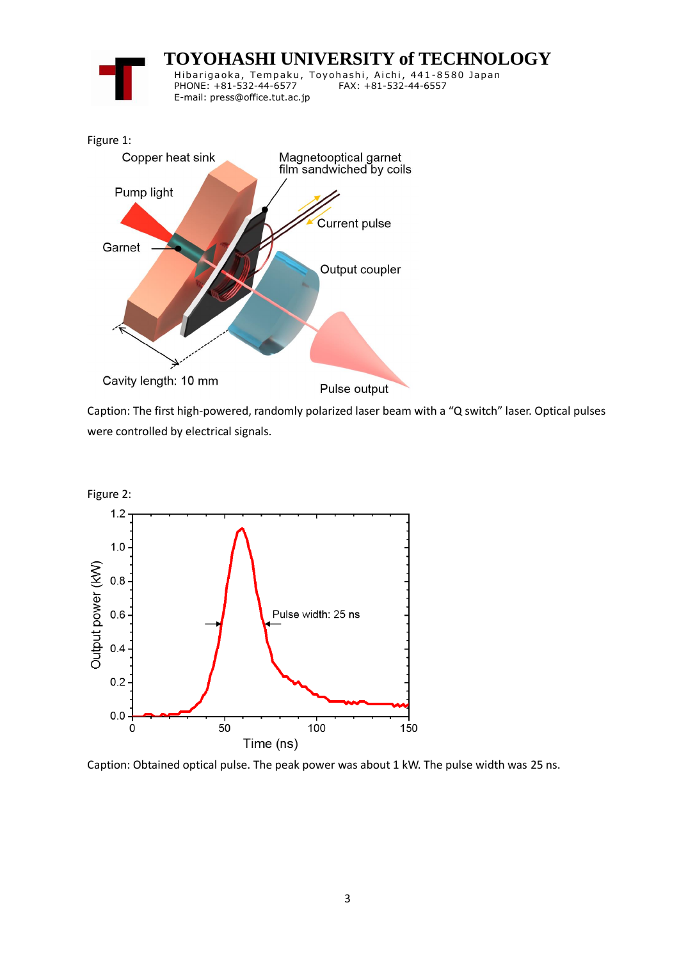

Caption: The first high-powered, randomly polarized laser beam with a "Q switch" laser. Optical pulses were controlled by electrical signals.



Caption: Obtained optical pulse. The peak power was about 1 kW. The pulse width was 25 ns.